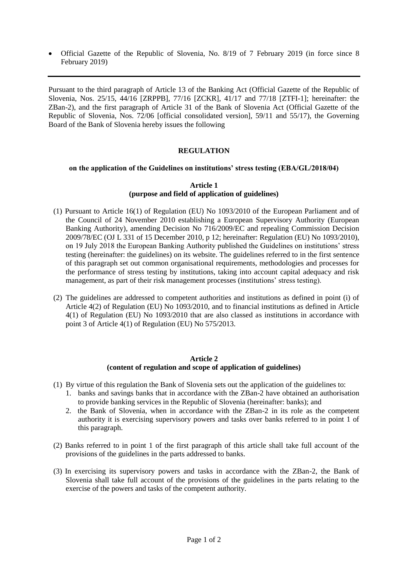Official Gazette of the Republic of Slovenia, No. 8/19 of 7 February 2019 (in force since 8 February 2019)

Pursuant to the third paragraph of Article 13 of the Banking Act (Official Gazette of the Republic of Slovenia, Nos. 25/15, 44/16 [ZRPPB], 77/16 [ZCKR], 41/17 and 77/18 [ZTFI-1]; hereinafter: the ZBan-2), and the first paragraph of Article 31 of the Bank of Slovenia Act (Official Gazette of the Republic of Slovenia, Nos. 72/06 [official consolidated version], 59/11 and 55/17), the Governing Board of the Bank of Slovenia hereby issues the following

# **REGULATION**

### **on the application of the Guidelines on institutions' stress testing (EBA/GL/2018/04)**

### **Article 1 (purpose and field of application of guidelines)**

- (1) Pursuant to Article 16(1) of Regulation (EU) No 1093/2010 of the European Parliament and of the Council of 24 November 2010 establishing a European Supervisory Authority (European Banking Authority), amending Decision No 716/2009/EC and repealing Commission Decision 2009/78/EC (OJ L 331 of 15 December 2010, p 12; hereinafter: Regulation (EU) No 1093/2010), on 19 July 2018 the European Banking Authority published the Guidelines on institutions' stress testing (hereinafter: the guidelines) on its website. The guidelines referred to in the first sentence of this paragraph set out common organisational requirements, methodologies and processes for the performance of stress testing by institutions, taking into account capital adequacy and risk management, as part of their risk management processes (institutions' stress testing).
- (2) The guidelines are addressed to competent authorities and institutions as defined in point (i) of Article 4(2) of Regulation (EU) No 1093/2010, and to financial institutions as defined in Article 4(1) of Regulation (EU) No 1093/2010 that are also classed as institutions in accordance with point 3 of Article 4(1) of Regulation (EU) No 575/2013.

#### **Article 2 (content of regulation and scope of application of guidelines)**

- (1) By virtue of this regulation the Bank of Slovenia sets out the application of the guidelines to:
	- 1. banks and savings banks that in accordance with the ZBan-2 have obtained an authorisation to provide banking services in the Republic of Slovenia (hereinafter: banks); and
	- 2. the Bank of Slovenia, when in accordance with the ZBan-2 in its role as the competent authority it is exercising supervisory powers and tasks over banks referred to in point 1 of this paragraph.
- (2) Banks referred to in point 1 of the first paragraph of this article shall take full account of the provisions of the guidelines in the parts addressed to banks.
- (3) In exercising its supervisory powers and tasks in accordance with the ZBan-2, the Bank of Slovenia shall take full account of the provisions of the guidelines in the parts relating to the exercise of the powers and tasks of the competent authority.